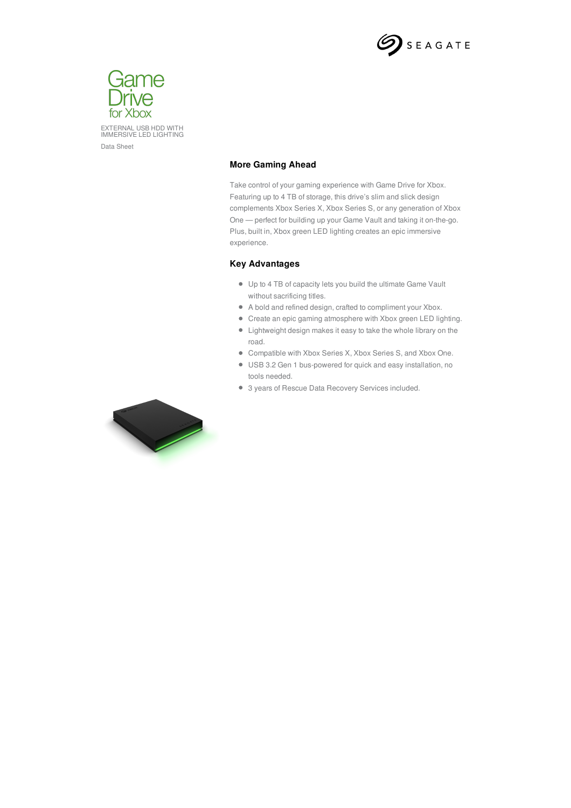



## **More Gaming Ahead**

Take control of your gaming experience with Game Drive for Xbox. Featuring up to 4 TB of storage, this drive's slim and slick design complements Xbox Series X, Xbox Series S, or any generation of Xbox One — perfect for building up your Game Vault and taking it on-the-go. Plus, built in, Xbox green LED lighting creates an epic immersive experience.

## **Key Advantages**

- Up to 4 TB of capacity lets you build the ultimate Game Vault without sacrificing titles.
- A bold and refined design, crafted to compliment your Xbox.
- Create an epic gaming atmosphere with Xbox green LED lighting.
- Lightweight design makes it easy to take the whole library on the road.
- Compatible with Xbox Series X, Xbox Series S, and Xbox One.
- USB 3.2 Gen 1 bus-powered for quick and easy installation, no tools needed.
- 3 years of Rescue Data Recovery Services included.